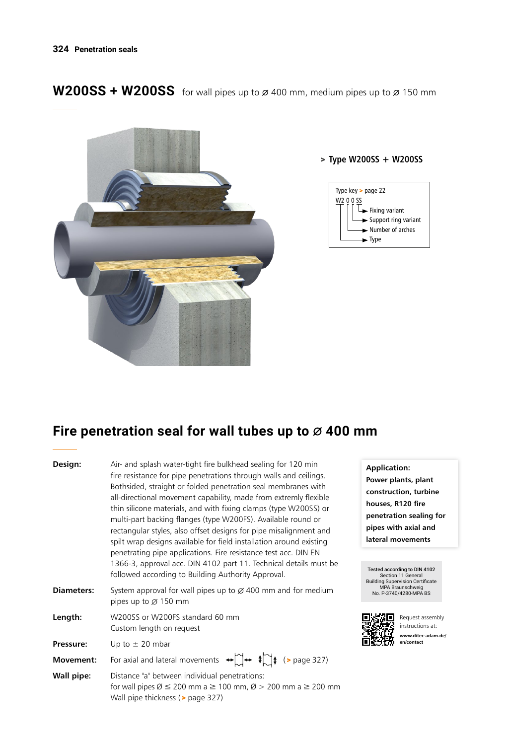W200SS + W200SS for wall pipes up to  $\varnothing$  400 mm, medium pipes up to  $\varnothing$  150 mm



### > **Type W200SS + W200SS**



# Fire penetration seal for wall tubes up to  $\varnothing$  400 mm

| Design:    | Air- and splash water-tight fire bulkhead sealing for 120 min<br>fire resistance for pipe penetrations through walls and ceilings.<br>Bothsided, straight or folded penetration seal membranes with<br>all-directional movement capability, made from extremly flexible<br>thin silicone materials, and with fixing clamps (type W200SS) or<br>multi-part backing flanges (type W200FS). Available round or<br>rectangular styles, also offset designs for pipe misalignment and<br>spilt wrap designs available for field installation around existing<br>penetrating pipe applications. Fire resistance test acc. DIN EN<br>1366-3, approval acc. DIN 4102 part 11. Technical details must be<br>followed according to Building Authority Approval. |  |  |  |  |
|------------|-------------------------------------------------------------------------------------------------------------------------------------------------------------------------------------------------------------------------------------------------------------------------------------------------------------------------------------------------------------------------------------------------------------------------------------------------------------------------------------------------------------------------------------------------------------------------------------------------------------------------------------------------------------------------------------------------------------------------------------------------------|--|--|--|--|
| Diameters: | System approval for wall pipes up to $\varnothing$ 400 mm and for medium<br>pipes up to $\varnothing$ 150 mm                                                                                                                                                                                                                                                                                                                                                                                                                                                                                                                                                                                                                                          |  |  |  |  |
| Length:    | W200SS or W200FS standard 60 mm<br>Custom length on request                                                                                                                                                                                                                                                                                                                                                                                                                                                                                                                                                                                                                                                                                           |  |  |  |  |
| Pressure:  | Up to $\pm$ 20 mbar                                                                                                                                                                                                                                                                                                                                                                                                                                                                                                                                                                                                                                                                                                                                   |  |  |  |  |
| Movement:  | For axial and lateral movements $\leftrightarrow \rightarrow +$ $\leftrightarrow +$ (> page 327)                                                                                                                                                                                                                                                                                                                                                                                                                                                                                                                                                                                                                                                      |  |  |  |  |
| Wall pipe: | Distance "a" between individual penetrations:<br>for wall pipes $\varnothing \le 200$ mm a $\ge 100$ mm, $\varnothing > 200$ mm a $\ge 200$ mm<br>Wall pipe thickness (> page 327)                                                                                                                                                                                                                                                                                                                                                                                                                                                                                                                                                                    |  |  |  |  |

**Application: Power plants, plant construction, turbine houses, R120 fire penetration sealing for pipes with axial and lateral movements**

Tested according to DIN 4102 Section 11 General Building Supervision Certificate MPA Braunschweig No. P-3740/4280-MPA BS



Request assembly instructions at: **www.ditec-adam.de/ en/contact**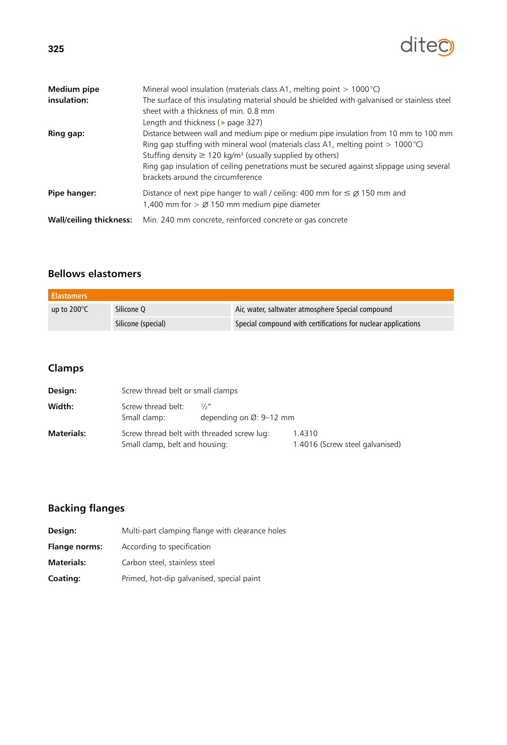# diteo

| <b>Medium pipe</b>             | Mineral wool insulation (materials class A1, melting point $> 1000^{\circ}$ C)                                                                                                                                                                                                                                                                                                                      |
|--------------------------------|-----------------------------------------------------------------------------------------------------------------------------------------------------------------------------------------------------------------------------------------------------------------------------------------------------------------------------------------------------------------------------------------------------|
| insulation:                    | The surface of this insulating material should be shielded with galvanised or stainless steel<br>sheet with a thickness of min. 0.8 mm<br>Length and thickness (> page 327)                                                                                                                                                                                                                         |
| <b>Ring gap:</b>               | Distance between wall and medium pipe or medium pipe insulation from 10 mm to 100 mm<br>Ring gap stuffing with mineral wool (materials class A1, melting point $> 1000^{\circ}$ C)<br>Stuffing density $\geq$ 120 kg/m <sup>3</sup> (usually supplied by others)<br>Ring gap insulation of ceiling penetrations must be secured against slippage using several<br>brackets around the circumference |
| Pipe hanger:                   | Distance of next pipe hanger to wall / ceiling: 400 mm for $\leq \emptyset$ 150 mm and<br>1,400 mm for $>$ $\varnothing$ 150 mm medium pipe diameter                                                                                                                                                                                                                                                |
| <b>Wall/ceiling thickness:</b> | Min. 240 mm concrete, reinforced concrete or gas concrete                                                                                                                                                                                                                                                                                                                                           |

## **Bellows elastomers**

| <b>Elastomers</b>     |                    |                                                               |  |  |
|-----------------------|--------------------|---------------------------------------------------------------|--|--|
| up to $200^{\circ}$ C | Silicone O         | Air, water, saltwater atmosphere Special compound             |  |  |
|                       | Silicone (special) | Special compound with certifications for nuclear applications |  |  |

## **Clamps**

| Design:           | Screw thread belt or small clamps                                            |                                             |                                           |  |
|-------------------|------------------------------------------------------------------------------|---------------------------------------------|-------------------------------------------|--|
| Width:            | Screw thread belt:<br>Small clamp:                                           | 1/2<br>depending on $\varnothing$ : 9-12 mm |                                           |  |
| <b>Materials:</b> | Screw thread belt with threaded screw lug:<br>Small clamp, belt and housing: |                                             | 1.4310<br>1.4016 (Screw steel galvanised) |  |

# **Backing flanges**

| Design:              | Multi-part clamping flange with clearance holes |  |  |  |
|----------------------|-------------------------------------------------|--|--|--|
| <b>Flange norms:</b> | According to specification                      |  |  |  |
| Materials:           | Carbon steel, stainless steel                   |  |  |  |
| <b>Coating:</b>      | Primed, hot-dip galvanised, special paint       |  |  |  |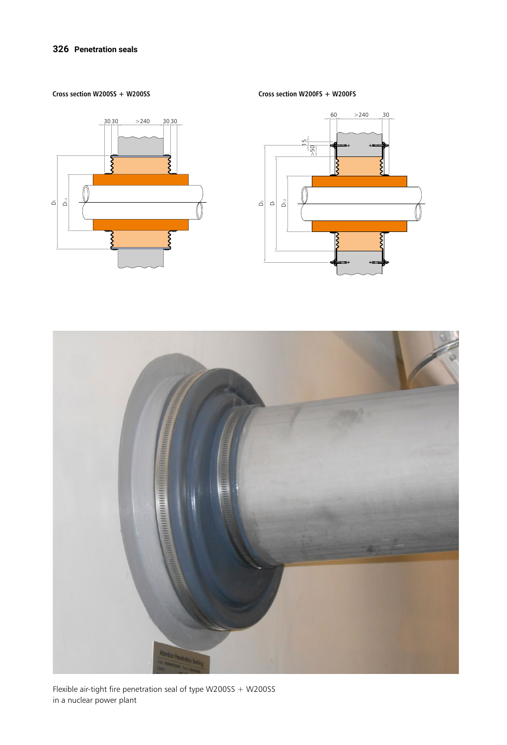#### **326 Penetration seals**

**Cross section W200SS + W200SS**



**Cross section W200FS + W200FS**





Flexible air-tight fire penetration seal of type W200SS + W200SS in a nuclear power plant